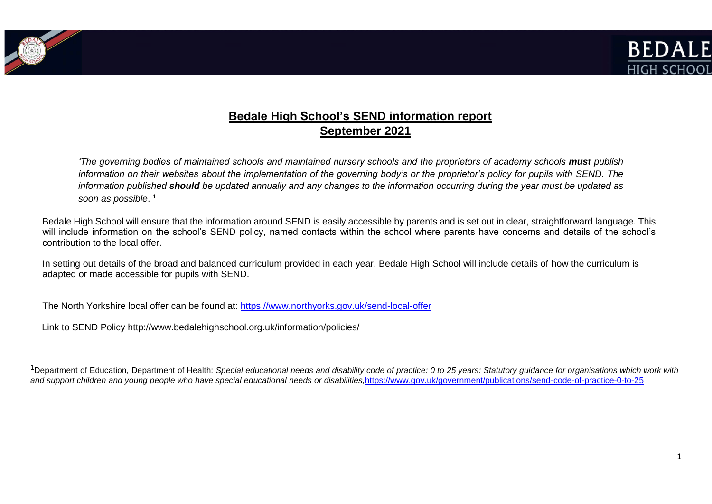



# **Bedale High School's SEND information report September 2021**

*'The governing bodies of maintained schools and maintained nursery schools and the proprietors of academy schools must publish information on their websites about the implementation of the governing body's or the proprietor's policy for pupils with SEND. The information published should be updated annually and any changes to the information occurring during the year must be updated as soon as possible*. 1

Bedale High School will ensure that the information around SEND is easily accessible by parents and is set out in clear, straightforward language. This will include information on the school's SEND policy, named contacts within the school where parents have concerns and details of the school's contribution to the local offer.

In setting out details of the broad and balanced curriculum provided in each year, Bedale High School will include details of how the curriculum is adapted or made accessible for pupils with SEND.

The North Yorkshire local offer can be found at: <https://www.northyorks.gov.uk/send-local-offer>

Link to SEND Policy<http://www.bedalehighschool.org.uk/information/policies/>

<sup>1</sup>Department of Education, Department of Health: Special educational needs and disability code of practice: 0 to 25 years: Statutory quidance for organisations which work with and support children and young people who have special educational needs or disabilities, <https://www.gov.uk/government/publications/send-code-of-practice-0-to-25>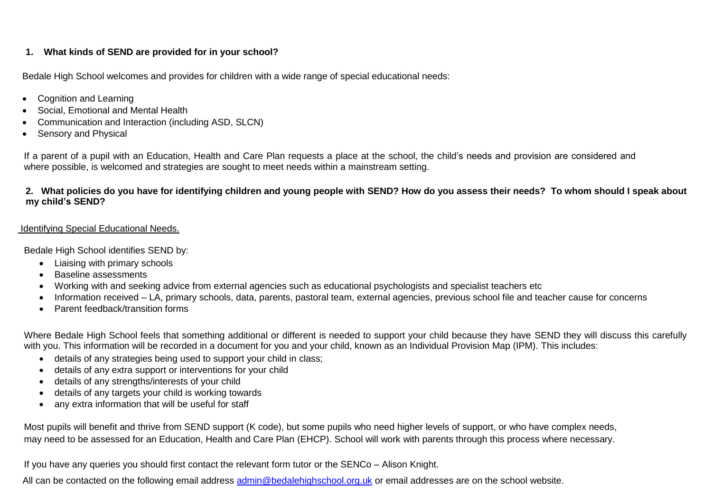## **1. What kinds of SEND are provided for in your school?**

Bedale High School welcomes and provides for children with a wide range of special educational needs:

- Cognition and Learning
- Social, Emotional and Mental Health
- Communication and Interaction (including ASD, SLCN)
- Sensory and Physical

If a parent of a pupil with an Education, Health and Care Plan requests a place at the school, the child's needs and provision are considered and where possible, is welcomed and strategies are sought to meet needs within a mainstream setting.

# **2. What policies do you have for identifying children and young people with SEND? How do you assess their needs? To whom should I speak about my child's SEND?**

## Identifying Special Educational Needs.

Bedale High School identifies SEND by:

- Liaising with primary schools
- Baseline assessments
- Working with and seeking advice from external agencies such as educational psychologists and specialist teachers etc
- Information received LA, primary schools, data, parents, pastoral team, external agencies, previous school file and teacher cause for concerns
- Parent feedback/transition forms

Where Bedale High School feels that something additional or different is needed to support your child because they have SEND they will discuss this carefully with you. This information will be recorded in a document for you and your child, known as an Individual Provision Map (IPM). This includes:

- details of any strategies being used to support your child in class;
- details of any extra support or interventions for your child
- details of any strengths/interests of your child
- details of any targets your child is working towards
- any extra information that will be useful for staff

Most pupils will benefit and thrive from SEND support (K code), but some pupils who need higher levels of support, or who have complex needs, may need to be assessed for an Education, Health and Care Plan (EHCP). School will work with parents through this process where necessary.

If you have any queries you should first contact the relevant form tutor or the SENCo – Alison Knight.

All can be contacted on the following email address [admin@bedalehighschool.org.uk](mailto:admin@bedalehighschool.org.uk) or email addresses are on the school website.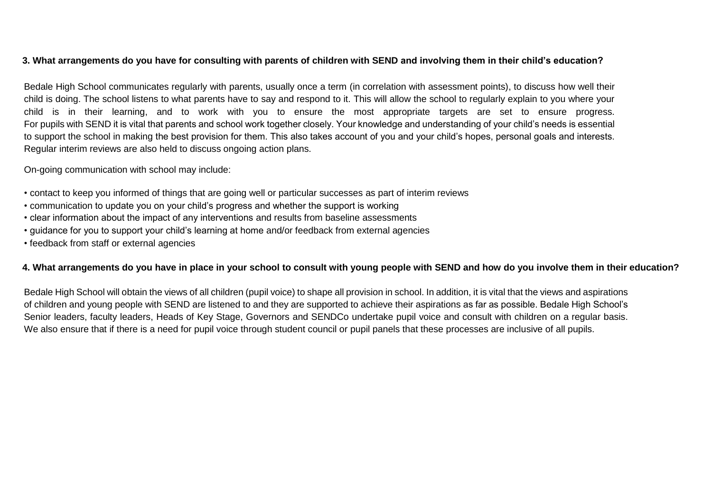## **3. What arrangements do you have for consulting with parents of children with SEND and involving them in their child's education?**

Bedale High School communicates regularly with parents, usually once a term (in correlation with assessment points), to discuss how well their child is doing. The school listens to what parents have to say and respond to it. This will allow the school to regularly explain to you where your child is in their learning, and to work with you to ensure the most appropriate targets are set to ensure progress. For pupils with SEND it is vital that parents and school work together closely. Your knowledge and understanding of your child's needs is essential to support the school in making the best provision for them. This also takes account of you and your child's hopes, personal goals and interests. Regular interim reviews are also held to discuss ongoing action plans.

On-going communication with school may include:

- contact to keep you informed of things that are going well or particular successes as part of interim reviews
- communication to update you on your child's progress and whether the support is working
- clear information about the impact of any interventions and results from baseline assessments
- guidance for you to support your child's learning at home and/or feedback from external agencies
- feedback from staff or external agencies

## **4. What arrangements do you have in place in your school to consult with young people with SEND and how do you involve them in their education?**

Bedale High School will obtain the views of all children (pupil voice) to shape all provision in school. In addition, it is vital that the views and aspirations of children and young people with SEND are listened to and they are supported to achieve their aspirations as far as possible. Bedale High School's Senior leaders, faculty leaders, Heads of Key Stage, Governors and SENDCo undertake pupil voice and consult with children on a regular basis. We also ensure that if there is a need for pupil voice through student council or pupil panels that these processes are inclusive of all pupils.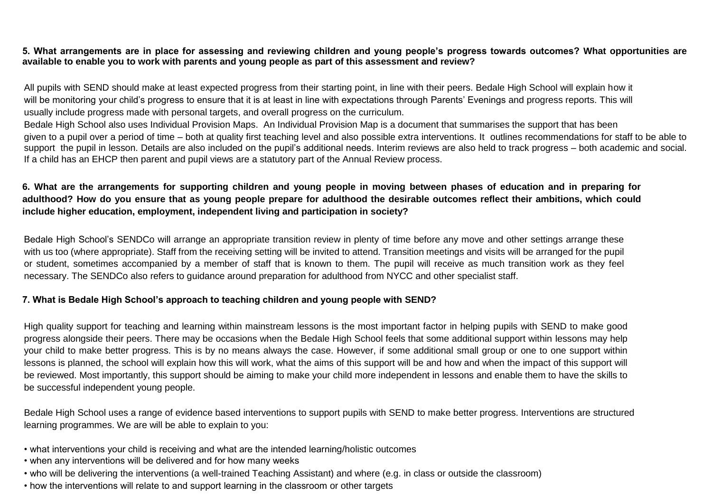#### **5. What arrangements are in place for assessing and reviewing children and young people's progress towards outcomes? What opportunities are available to enable you to work with parents and young people as part of this assessment and review?**

All pupils with SEND should make at least expected progress from their starting point, in line with their peers. Bedale High School will explain how it will be monitoring your child's progress to ensure that it is at least in line with expectations through Parents' Evenings and progress reports. This will usually include progress made with personal targets, and overall progress on the curriculum.

Bedale High School also uses Individual Provision Maps. An Individual Provision Map is a document that summarises the support that has been given to a pupil over a period of time – both at quality first teaching level and also possible extra interventions. It outlines recommendations for staff to be able to support the pupil in lesson. Details are also included on the pupil's additional needs. Interim reviews are also held to track progress – both academic and social. If a child has an EHCP then parent and pupil views are a statutory part of the Annual Review process.

# **6. What are the arrangements for supporting children and young people in moving between phases of education and in preparing for adulthood? How do you ensure that as young people prepare for adulthood the desirable outcomes reflect their ambitions, which could include higher education, employment, independent living and participation in society?**

Bedale High School's SENDCo will arrange an appropriate transition review in plenty of time before any move and other settings arrange these with us too (where appropriate). Staff from the receiving setting will be invited to attend. Transition meetings and visits will be arranged for the pupil or student, sometimes accompanied by a member of staff that is known to them. The pupil will receive as much transition work as they feel necessary. The SENDCo also refers to guidance around preparation for adulthood from NYCC and other specialist staff.

## **7. What is Bedale High School's approach to teaching children and young people with SEND?**

High quality support for teaching and learning within mainstream lessons is the most important factor in helping pupils with SEND to make good progress alongside their peers. There may be occasions when the Bedale High School feels that some additional support within lessons may help your child to make better progress. This is by no means always the case. However, if some additional small group or one to one support within lessons is planned, the school will explain how this will work, what the aims of this support will be and how and when the impact of this support will be reviewed. Most importantly, this support should be aiming to make your child more independent in lessons and enable them to have the skills to be successful independent young people.

Bedale High School uses a range of evidence based interventions to support pupils with SEND to make better progress. Interventions are structured learning programmes. We are will be able to explain to you:

- what interventions your child is receiving and what are the intended learning/holistic outcomes
- when any interventions will be delivered and for how many weeks
- who will be delivering the interventions (a well-trained Teaching Assistant) and where (e.g. in class or outside the classroom)
- how the interventions will relate to and support learning in the classroom or other targets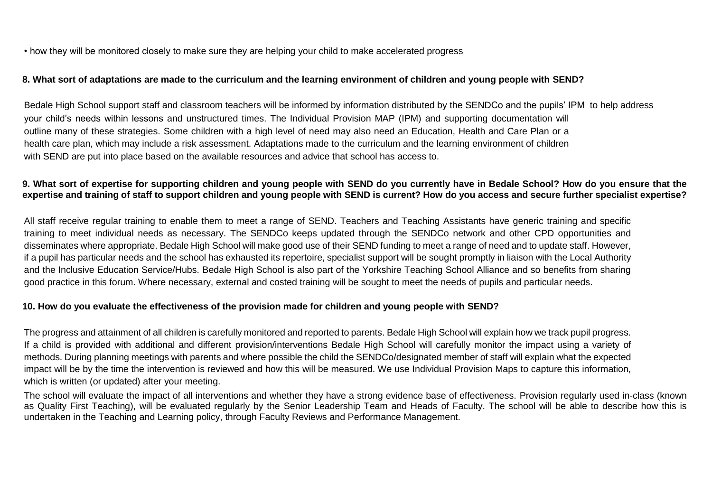• how they will be monitored closely to make sure they are helping your child to make accelerated progress

#### **8. What sort of adaptations are made to the curriculum and the learning environment of children and young people with SEND?**

Bedale High School support staff and classroom teachers will be informed by information distributed by the SENDCo and the pupils' IPM to help address your child's needs within lessons and unstructured times. The Individual Provision MAP (IPM) and supporting documentation will outline many of these strategies. Some children with a high level of need may also need an Education, Health and Care Plan or a health care plan, which may include a risk assessment. Adaptations made to the curriculum and the learning environment of children with SEND are put into place based on the available resources and advice that school has access to.

#### **9. What sort of expertise for supporting children and young people with SEND do you currently have in Bedale School? How do you ensure that the expertise and training of staff to support children and young people with SEND is current? How do you access and secure further specialist expertise?**

All staff receive regular training to enable them to meet a range of SEND. Teachers and Teaching Assistants have generic training and specific training to meet individual needs as necessary. The SENDCo keeps updated through the SENDCo network and other CPD opportunities and disseminates where appropriate. Bedale High School will make good use of their SEND funding to meet a range of need and to update staff. However, if a pupil has particular needs and the school has exhausted its repertoire, specialist support will be sought promptly in liaison with the Local Authority and the Inclusive Education Service/Hubs. Bedale High School is also part of the Yorkshire Teaching School Alliance and so benefits from sharing good practice in this forum. Where necessary, external and costed training will be sought to meet the needs of pupils and particular needs.

## **10. How do you evaluate the effectiveness of the provision made for children and young people with SEND?**

The progress and attainment of all children is carefully monitored and reported to parents. Bedale High School will explain how we track pupil progress. If a child is provided with additional and different provision/interventions Bedale High School will carefully monitor the impact using a variety of methods. During planning meetings with parents and where possible the child the SENDCo/designated member of staff will explain what the expected impact will be by the time the intervention is reviewed and how this will be measured. We use Individual Provision Maps to capture this information, which is written (or updated) after your meeting.

The school will evaluate the impact of all interventions and whether they have a strong evidence base of effectiveness. Provision regularly used in-class (known as Quality First Teaching), will be evaluated regularly by the Senior Leadership Team and Heads of Faculty. The school will be able to describe how this is undertaken in the Teaching and Learning policy, through Faculty Reviews and Performance Management.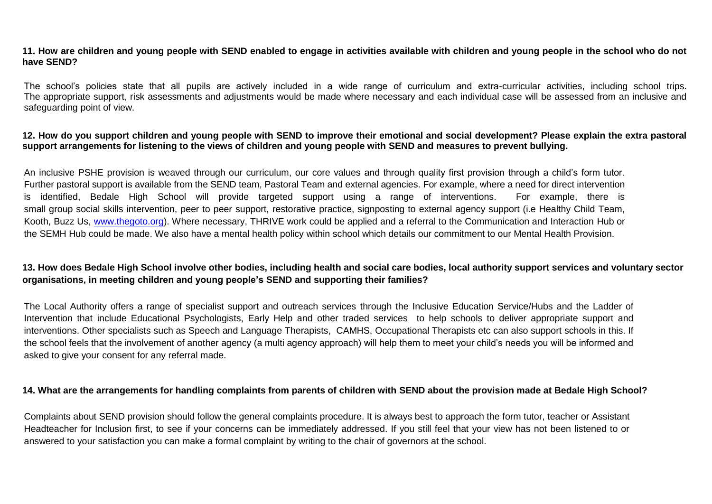**11. How are children and young people with SEND enabled to engage in activities available with children and young people in the school who do not have SEND?**

The school's policies state that all pupils are actively included in a wide range of curriculum and extra-curricular activities, including school trips. The appropriate support, risk assessments and adjustments would be made where necessary and each individual case will be assessed from an inclusive and safeguarding point of view.

#### **12. How do you support children and young people with SEND to improve their emotional and social development? Please explain the extra pastoral support arrangements for listening to the views of children and young people with SEND and measures to prevent bullying.**

An inclusive PSHE provision is weaved through our curriculum, our core values and through quality first provision through a child's form tutor. Further pastoral support is available from the SEND team, Pastoral Team and external agencies. For example, where a need for direct intervention is identified, Bedale High School will provide targeted support using a range of interventions. For example, there is small group social skills intervention, peer to peer support, restorative practice, signposting to external agency support (i.e Healthy Child Team, Kooth, Buzz Us, [www.thegoto.org\)](http://www.thegoto.org/). Where necessary, THRIVE work could be applied and a referral to the Communication and Interaction Hub or the SEMH Hub could be made. We also have a mental health policy within school which details our commitment to our Mental Health Provision.

# **13. How does Bedale High School involve other bodies, including health and social care bodies, local authority support services and voluntary sector organisations, in meeting children and young people's SEND and supporting their families?**

The Local Authority offers a range of specialist support and outreach services through the Inclusive Education Service/Hubs and the Ladder of Intervention that include Educational Psychologists, Early Help and other traded services to help schools to deliver appropriate support and interventions. Other specialists such as Speech and Language Therapists, CAMHS, Occupational Therapists etc can also support schools in this. If the school feels that the involvement of another agency (a multi agency approach) will help them to meet your child's needs you will be informed and asked to give your consent for any referral made.

#### **14. What are the arrangements for handling complaints from parents of children with SEND about the provision made at Bedale High School?**

Complaints about SEND provision should follow the general complaints procedure. It is always best to approach the form tutor, teacher or Assistant Headteacher for Inclusion first, to see if your concerns can be immediately addressed. If you still feel that your view has not been listened to or answered to your satisfaction you can make a formal complaint by writing to the chair of governors at the school.